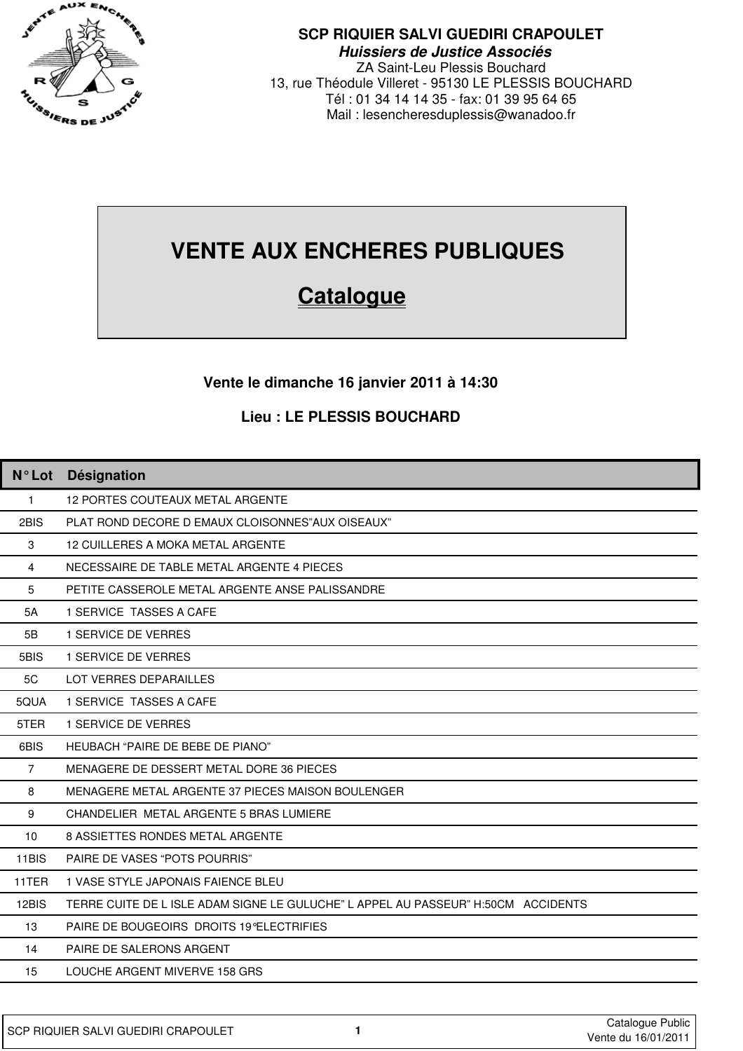

### **SCP RIQUIER SALVI GUEDIRI CRAPOULET Huissiers de Justice Associés**

ZA Saint-Leu Plessis Bouchard 13, rue Théodule Villeret - 95130 LE PLESSIS BOUCHARD Tél : 01 34 14 14 35 - fax: 01 39 95 64 65 Mail : lesencheresduplessis@wanadoo.fr

# **VENTE AUX ENCHERES PUBLIQUES**

## **Catalogue**

### **Vente le dimanche 16 janvier 2011 à 14:30**

#### **Lieu : LE PLESSIS BOUCHARD**

| <b>N</b> °Lot  | Désignation                                                                       |
|----------------|-----------------------------------------------------------------------------------|
| $\mathbf{1}$   | <b>12 PORTES COUTEAUX METAL ARGENTE</b>                                           |
| 2BIS           | PLAT ROND DECORE D EMAUX CLOISONNES"AUX OISEAUX"                                  |
| 3              | <b>12 CUILLERES A MOKA METAL ARGENTE</b>                                          |
| $\overline{4}$ | NECESSAIRE DE TABLE METAL ARGENTE 4 PIECES                                        |
| 5              | PETITE CASSEROLE METAL ARGENTE ANSE PALISSANDRE                                   |
| 5A             | 1 SERVICE TASSES A CAFE                                                           |
| 5B             | <b>1 SERVICE DE VERRES</b>                                                        |
| 5BIS           | 1 SERVICE DE VERRES                                                               |
| 5C             | LOT VERRES DEPARAILLES                                                            |
| 5QUA           | 1 SERVICE TASSES A CAFE                                                           |
| 5TER           | <b>1 SERVICE DE VERRES</b>                                                        |
| 6BIS           | HEUBACH "PAIRE DE BEBE DE PIANO"                                                  |
| $\overline{7}$ | MENAGERE DE DESSERT METAL DORE 36 PIECES                                          |
| 8              | MENAGERE METAL ARGENTE 37 PIECES MAISON BOULENGER                                 |
| 9              | CHANDELIER METAL ARGENTE 5 BRAS LUMIERE                                           |
| 10             | 8 ASSIETTES RONDES METAL ARGENTE                                                  |
| 11BIS          | PAIRE DE VASES "POTS POURRIS"                                                     |
| 11TER          | 1 VASE STYLE JAPONAIS FAIENCE BLEU                                                |
| 12BIS          | TERRE CUITE DE L ISLE ADAM SIGNE LE GULUCHE" L APPEL AU PASSEUR" H:50CM ACCIDENTS |
| 13             | PAIRE DE BOUGEOIRS DROITS 19 ELECTRIFIES                                          |
| 14             | PAIRE DE SALERONS ARGENT                                                          |
| 15             | LOUCHE ARGENT MIVERVE 158 GRS                                                     |
|                |                                                                                   |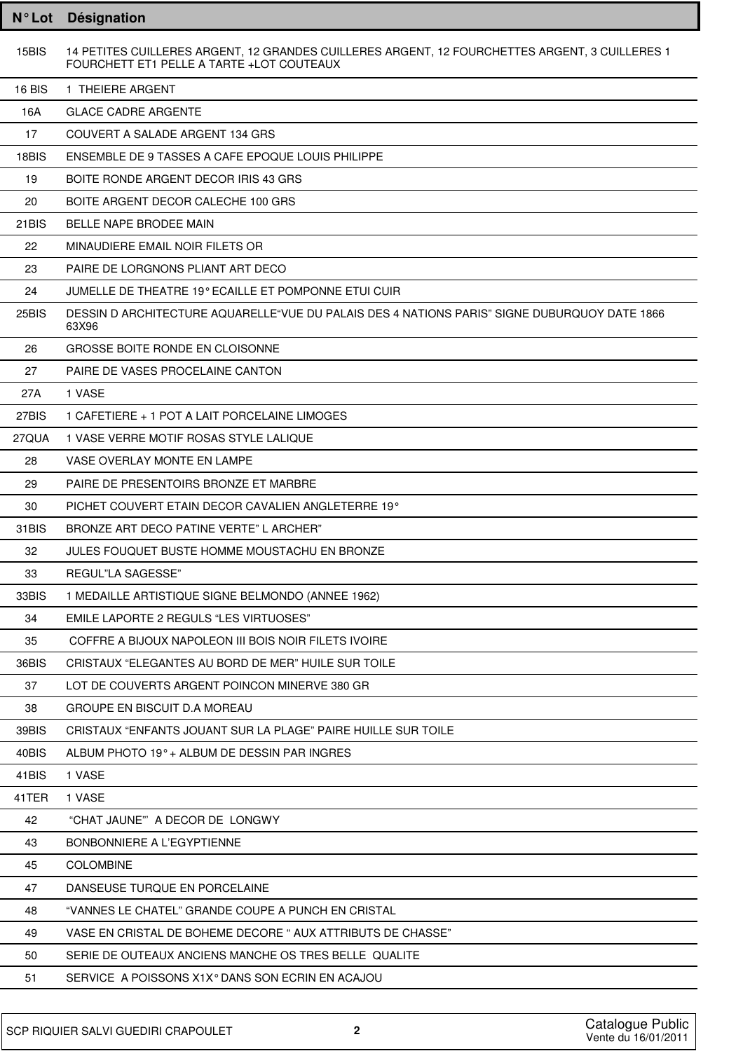| <b>N°Lot</b> | Désignation                                                                                                                                 |
|--------------|---------------------------------------------------------------------------------------------------------------------------------------------|
| 15BIS        | 14 PETITES CUILLERES ARGENT, 12 GRANDES CUILLERES ARGENT, 12 FOURCHETTES ARGENT, 3 CUILLERES 1<br>FOURCHETT ET1 PELLE A TARTE +LOT COUTEAUX |
| 16 BIS       | 1 THEIERE ARGENT                                                                                                                            |
| 16A          | <b>GLACE CADRE ARGENTE</b>                                                                                                                  |
| 17           | COUVERT A SALADE ARGENT 134 GRS                                                                                                             |
| 18BIS        | ENSEMBLE DE 9 TASSES A CAFE EPOQUE LOUIS PHILIPPE                                                                                           |
| 19           | BOITE RONDE ARGENT DECOR IRIS 43 GRS                                                                                                        |
| 20           | BOITE ARGENT DECOR CALECHE 100 GRS                                                                                                          |
| 21BIS        | BELLE NAPE BRODEE MAIN                                                                                                                      |
| 22           | MINAUDIERE EMAIL NOIR FILETS OR                                                                                                             |
| 23           | PAIRE DE LORGNONS PLIANT ART DECO                                                                                                           |
| 24           | JUMELLE DE THEATRE 19° ECAILLE ET POMPONNE ETUI CUIR                                                                                        |
| 25BIS        | DESSIN D ARCHITECTURE AQUARELLE"VUE DU PALAIS DES 4 NATIONS PARIS" SIGNE DUBURQUOY DATE 1866<br>63X96                                       |
| 26           | <b>GROSSE BOITE RONDE EN CLOISONNE</b>                                                                                                      |
| 27           | PAIRE DE VASES PROCELAINE CANTON                                                                                                            |
| 27A          | 1 VASE                                                                                                                                      |
| 27BIS        | 1 CAFETIERE + 1 POT A LAIT PORCELAINE LIMOGES                                                                                               |
| 27QUA        | 1 VASE VERRE MOTIF ROSAS STYLE LALIQUE                                                                                                      |
| 28           | VASE OVERLAY MONTE EN LAMPE                                                                                                                 |
| 29           | PAIRE DE PRESENTOIRS BRONZE ET MARBRE                                                                                                       |
| 30           | PICHET COUVERT ETAIN DECOR CAVALIEN ANGLETERRE 19°                                                                                          |
| 31BIS        | BRONZE ART DECO PATINE VERTE" LARCHER"                                                                                                      |
| 32           | JULES FOUQUET BUSTE HOMME MOUSTACHU EN BRONZE                                                                                               |
| 33           | REGUL"LA SAGESSE"                                                                                                                           |
| 33BIS        | 1 MEDAILLE ARTISTIQUE SIGNE BELMONDO (ANNEE 1962)                                                                                           |
| 34           | EMILE LAPORTE 2 REGULS "LES VIRTUOSES"                                                                                                      |
| 35           | COFFRE A BIJOUX NAPOLEON III BOIS NOIR FILETS IVOIRE                                                                                        |
| 36BIS        | CRISTAUX "ELEGANTES AU BORD DE MER" HUILE SUR TOILE                                                                                         |
| 37           | LOT DE COUVERTS ARGENT POINCON MINERVE 380 GR                                                                                               |
| 38           | GROUPE EN BISCUIT D.A MOREAU                                                                                                                |
| 39BIS        | CRISTAUX "ENFANTS JOUANT SUR LA PLAGE" PAIRE HUILLE SUR TOILE                                                                               |
| 40BIS        | ALBUM PHOTO 19° + ALBUM DE DESSIN PAR INGRES                                                                                                |
| 41BIS        | 1 VASE                                                                                                                                      |
| 41TER        | 1 VASE                                                                                                                                      |
| 42           | "CHAT JAUNE" A DECOR DE LONGWY                                                                                                              |
| 43           | BONBONNIERE A L'EGYPTIENNE                                                                                                                  |
| 45           | <b>COLOMBINE</b>                                                                                                                            |
| 47           | DANSEUSE TURQUE EN PORCELAINE                                                                                                               |
| 48           | "VANNES LE CHATEL" GRANDE COUPE A PUNCH EN CRISTAL                                                                                          |
| 49           | VASE EN CRISTAL DE BOHEME DECORE " AUX ATTRIBUTS DE CHASSE"                                                                                 |
| 50           | SERIE DE OUTEAUX ANCIENS MANCHE OS TRES BELLE QUALITE                                                                                       |
| 51           | SERVICE A POISSONS X1X° DANS SON ECRIN EN ACAJOU                                                                                            |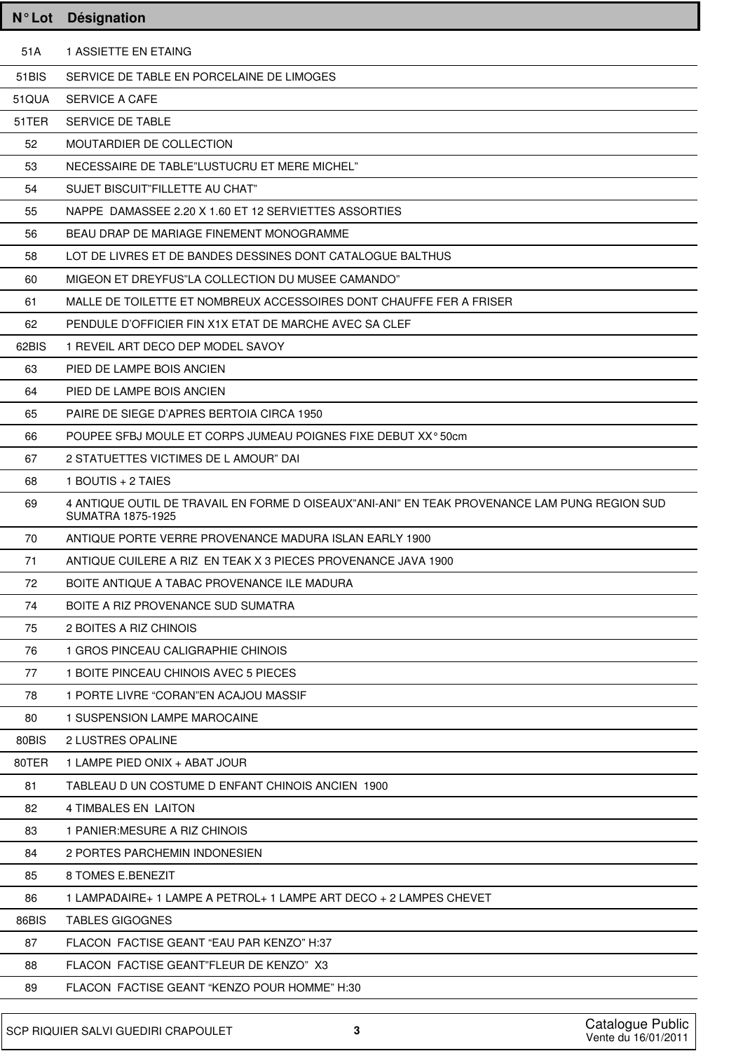|       | N°Lot Désignation                                                                                                         |
|-------|---------------------------------------------------------------------------------------------------------------------------|
| 51A   | 1 ASSIETTE EN ETAING                                                                                                      |
| 51BIS | SERVICE DE TABLE EN PORCELAINE DE LIMOGES                                                                                 |
| 51QUA | <b>SERVICE A CAFE</b>                                                                                                     |
| 51TER | SERVICE DE TABLE                                                                                                          |
| 52    | MOUTARDIER DE COLLECTION                                                                                                  |
| 53    | NECESSAIRE DE TABLE"LUSTUCRU ET MERE MICHEL"                                                                              |
| 54    | SUJET BISCUIT"FILLETTE AU CHAT"                                                                                           |
| 55    | NAPPE DAMASSEE 2.20 X 1.60 ET 12 SERVIETTES ASSORTIES                                                                     |
| 56    | BEAU DRAP DE MARIAGE FINEMENT MONOGRAMME                                                                                  |
| 58    | LOT DE LIVRES ET DE BANDES DESSINES DONT CATALOGUE BALTHUS                                                                |
| 60    | MIGEON ET DREYFUS"LA COLLECTION DU MUSEE CAMANDO"                                                                         |
| 61    | MALLE DE TOILETTE ET NOMBREUX ACCESSOIRES DONT CHAUFFE FER A FRISER                                                       |
| 62    | PENDULE D'OFFICIER FIN X1X ETAT DE MARCHE AVEC SA CLEF                                                                    |
| 62BIS | 1 REVEIL ART DECO DEP MODEL SAVOY                                                                                         |
| 63    | PIED DE LAMPE BOIS ANCIEN                                                                                                 |
| 64    | PIED DE LAMPE BOIS ANCIEN                                                                                                 |
| 65    | PAIRE DE SIEGE D'APRES BERTOIA CIRCA 1950                                                                                 |
| 66    | POUPEE SFBJ MOULE ET CORPS JUMEAU POIGNES FIXE DEBUT XX°50cm                                                              |
| 67    | 2 STATUETTES VICTIMES DE L AMOUR" DAI                                                                                     |
| 68    | 1 BOUTIS + 2 TAIES                                                                                                        |
| 69    | 4 ANTIQUE OUTIL DE TRAVAIL EN FORME D OISEAUX"ANI-ANI" EN TEAK PROVENANCE LAM PUNG REGION SUD<br><b>SUMATRA 1875-1925</b> |
| 70    | ANTIQUE PORTE VERRE PROVENANCE MADURA ISLAN EARLY 1900                                                                    |
| 71    | ANTIQUE CUILERE A RIZ EN TEAK X 3 PIECES PROVENANCE JAVA 1900                                                             |
| 72    | BOITE ANTIQUE A TABAC PROVENANCE ILE MADURA                                                                               |
| 74    | BOITE A RIZ PROVENANCE SUD SUMATRA                                                                                        |
| 75    | 2 BOITES A RIZ CHINOIS                                                                                                    |
| 76    | 1 GROS PINCEAU CALIGRAPHIE CHINOIS                                                                                        |
| 77    | 1 BOITE PINCEAU CHINOIS AVEC 5 PIECES                                                                                     |
| 78    | 1 PORTE LIVRE "CORAN"EN ACAJOU MASSIF                                                                                     |
| 80    | 1 SUSPENSION LAMPE MAROCAINE                                                                                              |
| 80BIS | 2 LUSTRES OPALINE                                                                                                         |
| 80TER | 1 LAMPE PIED ONIX + ABAT JOUR                                                                                             |
| 81    | TABLEAU D UN COSTUME D ENFANT CHINOIS ANCIEN 1900                                                                         |
| 82    | 4 TIMBALES EN LAITON                                                                                                      |
| 83    | 1 PANIER: MESURE A RIZ CHINOIS                                                                                            |
| 84    | 2 PORTES PARCHEMIN INDONESIEN                                                                                             |
| 85    | 8 TOMES E.BENEZIT                                                                                                         |
| 86    | 1 LAMPADAIRE+ 1 LAMPE A PETROL+ 1 LAMPE ART DECO + 2 LAMPES CHEVET                                                        |
| 86BIS | <b>TABLES GIGOGNES</b>                                                                                                    |
| 87    | FLACON FACTISE GEANT "EAU PAR KENZO" H:37                                                                                 |
| 88    | FLACON FACTISE GEANT"FLEUR DE KENZO" X3                                                                                   |
| 89    | FLACON FACTISE GEANT "KENZO POUR HOMME" H:30                                                                              |
|       |                                                                                                                           |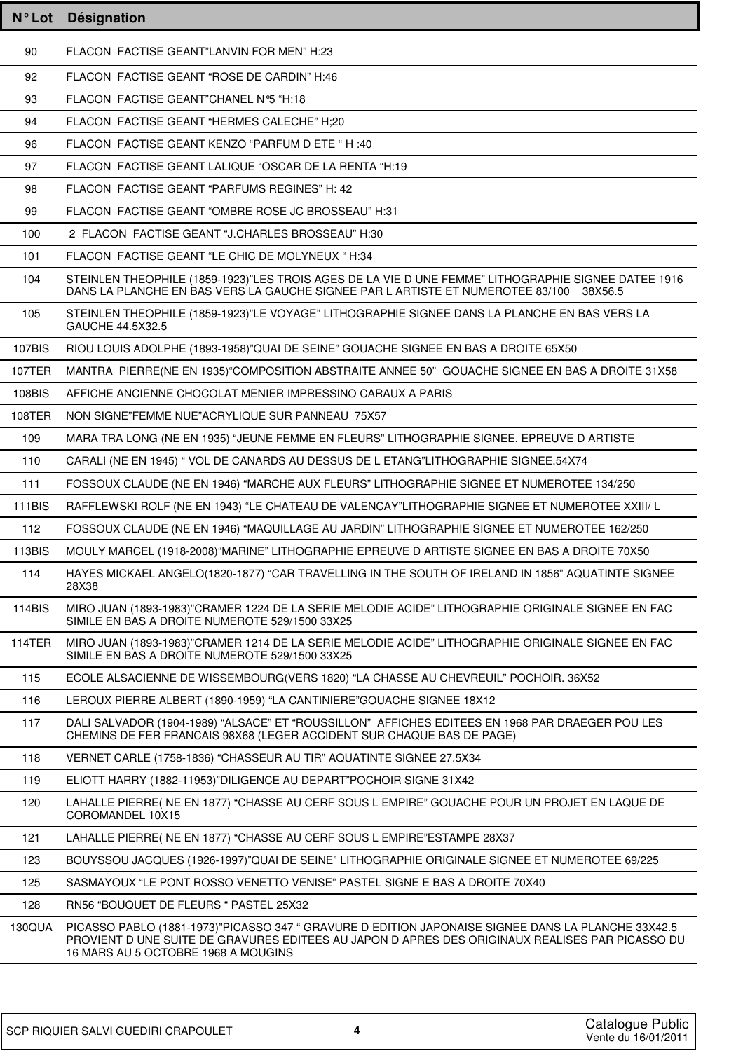| $N^{\circ}$ Lot | <b>Désignation</b>                                                                                                                                                                                                                           |
|-----------------|----------------------------------------------------------------------------------------------------------------------------------------------------------------------------------------------------------------------------------------------|
| 90              | FLACON FACTISE GEANT"LANVIN FOR MEN" H:23                                                                                                                                                                                                    |
| 92              | FLACON FACTISE GEANT "ROSE DE CARDIN" H:46                                                                                                                                                                                                   |
| 93              | FLACON FACTISE GEANT"CHANEL N°5 "H:18                                                                                                                                                                                                        |
| 94              | FLACON FACTISE GEANT "HERMES CALECHE" H;20                                                                                                                                                                                                   |
| 96              | FLACON FACTISE GEANT KENZO "PARFUM D ETE " H :40                                                                                                                                                                                             |
| 97              | FLACON FACTISE GEANT LALIQUE "OSCAR DE LA RENTA "H:19                                                                                                                                                                                        |
| 98              | FLACON FACTISE GEANT "PARFUMS REGINES" H: 42                                                                                                                                                                                                 |
| 99              | FLACON FACTISE GEANT "OMBRE ROSE JC BROSSEAU" H:31                                                                                                                                                                                           |
| 100             | 2 FLACON FACTISE GEANT "J.CHARLES BROSSEAU" H:30                                                                                                                                                                                             |
| 101             | FLACON FACTISE GEANT "LE CHIC DE MOLYNEUX "H:34                                                                                                                                                                                              |
| 104             | STEINLEN THEOPHILE (1859-1923)"LES TROIS AGES DE LA VIE D UNE FEMME" LITHOGRAPHIE SIGNEE DATEE 1916<br>DANS LA PLANCHE EN BAS VERS LA GAUCHE SIGNEE PAR L ARTISTE ET NUMEROTEE 83/100 38X56.5                                                |
| 105             | STEINLEN THEOPHILE (1859-1923)"LE VOYAGE" LITHOGRAPHIE SIGNEE DANS LA PLANCHE EN BAS VERS LA<br>GAUCHE 44.5X32.5                                                                                                                             |
| 107BIS          | RIOU LOUIS ADOLPHE (1893-1958)"QUAI DE SEINE" GOUACHE SIGNEE EN BAS A DROITE 65X50                                                                                                                                                           |
| <b>107TER</b>   | MANTRA PIERRE(NE EN 1935)"COMPOSITION ABSTRAITE ANNEE 50" GOUACHE SIGNEE EN BAS A DROITE 31X58                                                                                                                                               |
| 108BIS          | AFFICHE ANCIENNE CHOCOLAT MENIER IMPRESSINO CARAUX A PARIS                                                                                                                                                                                   |
| 108TER          | NON SIGNE"FEMME NUE"ACRYLIQUE SUR PANNEAU 75X57                                                                                                                                                                                              |
| 109             | MARA TRA LONG (NE EN 1935) "JEUNE FEMME EN FLEURS" LITHOGRAPHIE SIGNEE. EPREUVE D ARTISTE                                                                                                                                                    |
| 110             | CARALI (NE EN 1945) " VOL DE CANARDS AU DESSUS DE L ETANG"LITHOGRAPHIE SIGNEE.54X74                                                                                                                                                          |
| 111             | FOSSOUX CLAUDE (NE EN 1946) "MARCHE AUX FLEURS" LITHOGRAPHIE SIGNEE ET NUMEROTEE 134/250                                                                                                                                                     |
| <b>111BIS</b>   | RAFFLEWSKI ROLF (NE EN 1943) "LE CHATEAU DE VALENCAY"LITHOGRAPHIE SIGNEE ET NUMEROTEE XXIII/ L                                                                                                                                               |
| 112             | FOSSOUX CLAUDE (NE EN 1946) "MAQUILLAGE AU JARDIN" LITHOGRAPHIE SIGNEE ET NUMEROTEE 162/250                                                                                                                                                  |
| 113BIS          | MOULY MARCEL (1918-2008) "MARINE" LITHOGRAPHIE EPREUVE D ARTISTE SIGNEE EN BAS A DROITE 70X50                                                                                                                                                |
| 114             | HAYES MICKAEL ANGELO(1820-1877) "CAR TRAVELLING IN THE SOUTH OF IRELAND IN 1856" AQUATINTE SIGNEE<br>28X38                                                                                                                                   |
| 114BIS          | MIRO JUAN (1893-1983)"CRAMER 1224 DE LA SERIE MELODIE ACIDE" LITHOGRAPHIE ORIGINALE SIGNEE EN FAC<br>SIMILE EN BAS A DROITE NUMEROTE 529/1500 33X25                                                                                          |
| <b>114TER</b>   | MIRO JUAN (1893-1983)"CRAMER 1214 DE LA SERIE MELODIE ACIDE" LITHOGRAPHIE ORIGINALE SIGNEE EN FAC<br>SIMILE EN BAS A DROITE NUMEROTE 529/1500 33X25                                                                                          |
| 115             | ECOLE ALSACIENNE DE WISSEMBOURG(VERS 1820) "LA CHASSE AU CHEVREUIL" POCHOIR. 36X52                                                                                                                                                           |
| 116             | LEROUX PIERRE ALBERT (1890-1959) "LA CANTINIERE" GOUACHE SIGNEE 18X12                                                                                                                                                                        |
| 117             | DALI SALVADOR (1904-1989) "ALSACE" ET "ROUSSILLON" AFFICHES EDITEES EN 1968 PAR DRAEGER POU LES<br>CHEMINS DE FER FRANCAIS 98X68 (LEGER ACCIDENT SUR CHAQUE BAS DE PAGE)                                                                     |
| 118             | VERNET CARLE (1758-1836) "CHASSEUR AU TIR" AQUATINTE SIGNEE 27.5X34                                                                                                                                                                          |
| 119             | ELIOTT HARRY (1882-11953)"DILIGENCE AU DEPART"POCHOIR SIGNE 31X42                                                                                                                                                                            |
| 120             | LAHALLE PIERRE( NE EN 1877) "CHASSE AU CERF SOUS L EMPIRE" GOUACHE POUR UN PROJET EN LAQUE DE<br>COROMANDEL 10X15                                                                                                                            |
| 121             | LAHALLE PIERRE( NE EN 1877) "CHASSE AU CERF SOUS L EMPIRE" ESTAMPE 28X37                                                                                                                                                                     |
| 123             | BOUYSSOU JACQUES (1926-1997)"QUAI DE SEINE" LITHOGRAPHIE ORIGINALE SIGNEE ET NUMEROTEE 69/225                                                                                                                                                |
| 125             | SASMAYOUX "LE PONT ROSSO VENETTO VENISE" PASTEL SIGNE E BAS A DROITE 70X40                                                                                                                                                                   |
| 128             | RN56 "BOUQUET DE FLEURS " PASTEL 25X32                                                                                                                                                                                                       |
| 130QUA          | PICASSO PABLO (1881-1973)"PICASSO 347 " GRAVURE D EDITION JAPONAISE SIGNEE DANS LA PLANCHE 33X42.5<br>PROVIENT D UNE SUITE DE GRAVURES EDITEES AU JAPON D APRES DES ORIGINAUX REALISES PAR PICASSO DU<br>16 MARS AU 5 OCTOBRE 1968 A MOUGINS |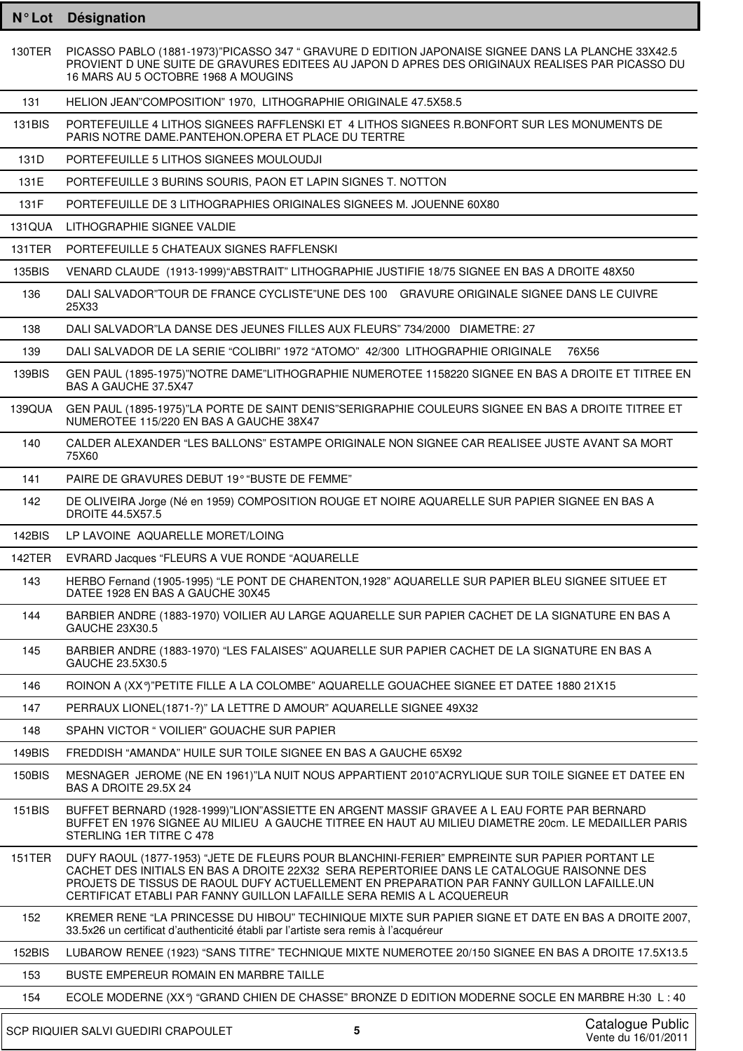| $N^{\circ}$ Lot | <b>Désignation</b>                                                                                                                                                                                                                                                                                                                                               |
|-----------------|------------------------------------------------------------------------------------------------------------------------------------------------------------------------------------------------------------------------------------------------------------------------------------------------------------------------------------------------------------------|
| 130TER          | PICASSO PABLO (1881-1973)"PICASSO 347 " GRAVURE D EDITION JAPONAISE SIGNEE DANS LA PLANCHE 33X42.5<br>PROVIENT D UNE SUITE DE GRAVURES EDITEES AU JAPON D APRES DES ORIGINAUX REALISES PAR PICASSO DU<br>16 MARS AU 5 OCTOBRE 1968 A MOUGINS                                                                                                                     |
| 131             | HELION JEAN"COMPOSITION" 1970, LITHOGRAPHIE ORIGINALE 47.5X58.5                                                                                                                                                                                                                                                                                                  |
| 131BIS          | PORTEFEUILLE 4 LITHOS SIGNEES RAFFLENSKI ET 4 LITHOS SIGNEES R.BONFORT SUR LES MONUMENTS DE<br>PARIS NOTRE DAME.PANTEHON.OPERA ET PLACE DU TERTRE                                                                                                                                                                                                                |
| 131D            | PORTEFEUILLE 5 LITHOS SIGNEES MOULOUDJI                                                                                                                                                                                                                                                                                                                          |
| 131E            | PORTEFEUILLE 3 BURINS SOURIS, PAON ET LAPIN SIGNES T. NOTTON                                                                                                                                                                                                                                                                                                     |
| 131F            | PORTEFEUILLE DE 3 LITHOGRAPHIES ORIGINALES SIGNEES M. JOUENNE 60X80                                                                                                                                                                                                                                                                                              |
| <b>131QUA</b>   | LITHOGRAPHIE SIGNEE VALDIE                                                                                                                                                                                                                                                                                                                                       |
| 131TER          | PORTEFEUILLE 5 CHATEAUX SIGNES RAFFLENSKI                                                                                                                                                                                                                                                                                                                        |
| 135BIS          | VENARD CLAUDE (1913-1999) "ABSTRAIT" LITHOGRAPHIE JUSTIFIE 18/75 SIGNEE EN BAS A DROITE 48X50                                                                                                                                                                                                                                                                    |
| 136             | DALI SALVADOR"TOUR DE FRANCE CYCLISTE"UNE DES 100 GRAVURE ORIGINALE SIGNEE DANS LE CUIVRE<br>25X33                                                                                                                                                                                                                                                               |
| 138             | DALI SALVADOR"LA DANSE DES JEUNES FILLES AUX FLEURS" 734/2000 DIAMETRE: 27                                                                                                                                                                                                                                                                                       |
| 139             | DALI SALVADOR DE LA SERIE "COLIBRI" 1972 "ATOMO" 42/300 LITHOGRAPHIE ORIGINALE<br>76X56                                                                                                                                                                                                                                                                          |
| 139BIS          | GEN PAUL (1895-1975)"NOTRE DAME"LITHOGRAPHIE NUMEROTEE 1158220 SIGNEE EN BAS A DROITE ET TITREE EN<br>BAS A GAUCHE 37.5X47                                                                                                                                                                                                                                       |
| 139QUA          | GEN PAUL (1895-1975)"LA PORTE DE SAINT DENIS"SERIGRAPHIE COULEURS SIGNEE EN BAS A DROITE TITREE ET<br>NUMEROTEE 115/220 EN BAS A GAUCHE 38X47                                                                                                                                                                                                                    |
| 140             | CALDER ALEXANDER "LES BALLONS" ESTAMPE ORIGINALE NON SIGNEE CAR REALISEE JUSTE AVANT SA MORT<br>75X60                                                                                                                                                                                                                                                            |
| 141             | PAIRE DE GRAVURES DEBUT 19° "BUSTE DE FEMME"                                                                                                                                                                                                                                                                                                                     |
| 142             | DE OLIVEIRA Jorge (Né en 1959) COMPOSITION ROUGE ET NOIRE AQUARELLE SUR PAPIER SIGNEE EN BAS A<br><b>DROITE 44.5X57.5</b>                                                                                                                                                                                                                                        |
| <b>142BIS</b>   | LP LAVOINE AQUARELLE MORET/LOING                                                                                                                                                                                                                                                                                                                                 |
| 142TER          | EVRARD Jacques "FLEURS A VUE RONDE "AQUARELLE                                                                                                                                                                                                                                                                                                                    |
| 143             | HERBO Fernand (1905-1995) "LE PONT DE CHARENTON, 1928" AQUARELLE SUR PAPIER BLEU SIGNEE SITUEE ET<br>DATEE 1928 EN BAS A GAUCHE 30X45                                                                                                                                                                                                                            |
| 144             | BARBIER ANDRE (1883-1970) VOILIER AU LARGE AQUARELLE SUR PAPIER CACHET DE LA SIGNATURE EN BAS A<br>GAUCHE 23X30.5                                                                                                                                                                                                                                                |
| 145             | BARBIER ANDRE (1883-1970) "LES FALAISES" AQUARELLE SUR PAPIER CACHET DE LA SIGNATURE EN BAS A<br>GAUCHE 23.5X30.5                                                                                                                                                                                                                                                |
| 146             | ROINON A (XXº)"PETITE FILLE A LA COLOMBE" AQUARELLE GOUACHEE SIGNEE ET DATEE 1880 21X15                                                                                                                                                                                                                                                                          |
| 147             | PERRAUX LIONEL(1871-?)" LA LETTRE D AMOUR" AQUARELLE SIGNEE 49X32                                                                                                                                                                                                                                                                                                |
| 148             | SPAHN VICTOR "VOILIER" GOUACHE SUR PAPIER                                                                                                                                                                                                                                                                                                                        |
| 149BIS          | FREDDISH "AMANDA" HUILE SUR TOILE SIGNEE EN BAS A GAUCHE 65X92                                                                                                                                                                                                                                                                                                   |
| 150BIS          | MESNAGER JEROME (NE EN 1961)"LA NUIT NOUS APPARTIENT 2010"ACRYLIQUE SUR TOILE SIGNEE ET DATEE EN<br>BAS A DROITE 29.5X 24                                                                                                                                                                                                                                        |
| 151BIS          | BUFFET BERNARD (1928-1999)"LION"ASSIETTE EN ARGENT MASSIF GRAVEE A L EAU FORTE PAR BERNARD<br>BUFFET EN 1976 SIGNEE AU MILIEU A GAUCHE TITREE EN HAUT AU MILIEU DIAMETRE 20cm. LE MEDAILLER PARIS<br>STERLING 1ER TITRE C 478                                                                                                                                    |
| 151TER          | DUFY RAOUL (1877-1953) "JETE DE FLEURS POUR BLANCHINI-FERIER" EMPREINTE SUR PAPIER PORTANT LE<br>CACHET DES INITIALS EN BAS A DROITE 22X32 SERA REPERTORIEE DANS LE CATALOGUE RAISONNE DES<br>PROJETS DE TISSUS DE RAOUL DUFY ACTUELLEMENT EN PREPARATION PAR FANNY GUILLON LAFAILLE.UN<br>CERTIFICAT ETABLI PAR FANNY GUILLON LAFAILLE SERA REMIS A L ACQUEREUR |
| 152             | KREMER RENE "LA PRINCESSE DU HIBOU" TECHINIQUE MIXTE SUR PAPIER SIGNE ET DATE EN BAS A DROITE 2007,<br>33.5x26 un certificat d'authenticité établi par l'artiste sera remis à l'acquéreur                                                                                                                                                                        |
| 152BIS          | LUBAROW RENEE (1923) "SANS TITRE" TECHNIQUE MIXTE NUMEROTEE 20/150 SIGNEE EN BAS A DROITE 17.5X13.5                                                                                                                                                                                                                                                              |
| 153             | BUSTE EMPEREUR ROMAIN EN MARBRE TAILLE                                                                                                                                                                                                                                                                                                                           |
| 154             | ECOLE MODERNE (XXº) "GRAND CHIEN DE CHASSE" BRONZE D EDITION MODERNE SOCLE EN MARBRE H:30 L: 40                                                                                                                                                                                                                                                                  |
|                 | Catalogue Public<br>5<br>SCP RIQUIER SALVI GUEDIRI CRAPOULET<br>Vente du 16/01/2011                                                                                                                                                                                                                                                                              |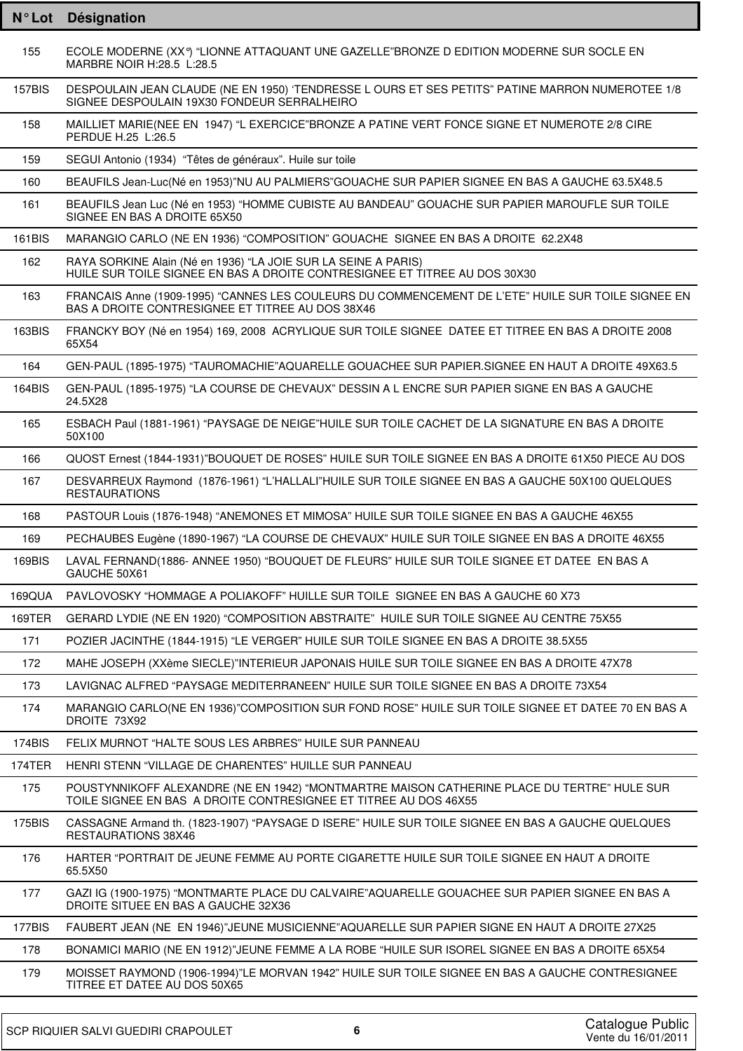| $N^{\circ}$ Lot | <b>Désignation</b>                                                                                                                                              |
|-----------------|-----------------------------------------------------------------------------------------------------------------------------------------------------------------|
| 155             | ECOLE MODERNE (XXº) "LIONNE ATTAQUANT UNE GAZELLE"BRONZE D EDITION MODERNE SUR SOCLE EN<br>MARBRE NOIR H:28.5 L:28.5                                            |
| 157BIS          | DESPOULAIN JEAN CLAUDE (NE EN 1950) 'TENDRESSE LOURS ET SES PETITS" PATINE MARRON NUMEROTEE 1/8<br>SIGNEE DESPOULAIN 19X30 FONDEUR SERRALHEIRO                  |
| 158             | MAILLIET MARIE(NEE EN 1947) "L EXERCICE"BRONZE A PATINE VERT FONCE SIGNE ET NUMEROTE 2/8 CIRE<br>PERDUE H.25 L:26.5                                             |
| 159             | SEGUI Antonio (1934) "Têtes de généraux". Huile sur toile                                                                                                       |
| 160             | BEAUFILS Jean-Luc(Né en 1953)"NU AU PALMIERS"GOUACHE SUR PAPIER SIGNEE EN BAS A GAUCHE 63.5X48.5                                                                |
| 161             | BEAUFILS Jean Luc (Né en 1953) "HOMME CUBISTE AU BANDEAU" GOUACHE SUR PAPIER MAROUFLE SUR TOILE<br>SIGNEE EN BAS A DROITE 65X50                                 |
| 161BIS          | MARANGIO CARLO (NE EN 1936) "COMPOSITION" GOUACHE SIGNEE EN BAS A DROITE 62.2X48                                                                                |
| 162             | RAYA SORKINE Alain (Né en 1936) "LA JOIE SUR LA SEINE A PARIS)<br>HUILE SUR TOILE SIGNEE EN BAS A DROITE CONTRESIGNEE ET TITREE AU DOS 30X30                    |
| 163             | FRANCAIS Anne (1909-1995) "CANNES LES COULEURS DU COMMENCEMENT DE L'ETE" HUILE SUR TOILE SIGNEE EN<br>BAS A DROITE CONTRESIGNEE ET TITREE AU DOS 38X46          |
| 163BIS          | FRANCKY BOY (Né en 1954) 169, 2008 ACRYLIQUE SUR TOILE SIGNEE DATEE ET TITREE EN BAS A DROITE 2008<br>65X54                                                     |
| 164             | GEN-PAUL (1895-1975) "TAUROMACHIE"AQUARELLE GOUACHEE SUR PAPIER.SIGNEE EN HAUT A DROITE 49X63.5                                                                 |
| 164BIS          | GEN-PAUL (1895-1975) "LA COURSE DE CHEVAUX" DESSIN A L ENCRE SUR PAPIER SIGNE EN BAS A GAUCHE<br>24.5X28                                                        |
| 165             | ESBACH Paul (1881-1961) "PAYSAGE DE NEIGE"HUILE SUR TOILE CACHET DE LA SIGNATURE EN BAS A DROITE<br>50X100                                                      |
| 166             | QUOST Ernest (1844-1931)"BOUQUET DE ROSES" HUILE SUR TOILE SIGNEE EN BAS A DROITE 61X50 PIECE AU DOS                                                            |
| 167             | DESVARREUX Raymond (1876-1961) "L'HALLALI"HUILE SUR TOILE SIGNEE EN BAS A GAUCHE 50X100 QUELQUES<br><b>RESTAURATIONS</b>                                        |
| 168             | PASTOUR Louis (1876-1948) "ANEMONES ET MIMOSA" HUILE SUR TOILE SIGNEE EN BAS A GAUCHE 46X55                                                                     |
| 169             | PECHAUBES Eugène (1890-1967) "LA COURSE DE CHEVAUX" HUILE SUR TOILE SIGNEE EN BAS A DROITE 46X55                                                                |
| 169BIS          | LAVAL FERNAND(1886- ANNEE 1950) "BOUQUET DE FLEURS" HUILE SUR TOILE SIGNEE ET DATEE EN BAS A<br>GAUCHE 50X61                                                    |
| 169QUA          | PAVLOVOSKY "HOMMAGE A POLIAKOFF" HUILLE SUR TOILE SIGNEE EN BAS A GAUCHE 60 X73                                                                                 |
| 169TER          | GERARD LYDIE (NE EN 1920) "COMPOSITION ABSTRAITE" HUILE SUR TOILE SIGNEE AU CENTRE 75X55                                                                        |
| 171             | POZIER JACINTHE (1844-1915) "LE VERGER" HUILE SUR TOILE SIGNEE EN BAS A DROITE 38.5X55                                                                          |
| 172             | MAHE JOSEPH (XXème SIECLE)"INTERIEUR JAPONAIS HUILE SUR TOILE SIGNEE EN BAS A DROITE 47X78                                                                      |
| 173             | LAVIGNAC ALFRED "PAYSAGE MEDITERRANEEN" HUILE SUR TOILE SIGNEE EN BAS A DROITE 73X54                                                                            |
| 174             | MARANGIO CARLO(NE EN 1936)"COMPOSITION SUR FOND ROSE" HUILE SUR TOILE SIGNEE ET DATEE 70 EN BAS A<br>DROITE 73X92                                               |
| 174BIS          | FELIX MURNOT "HALTE SOUS LES ARBRES" HUILE SUR PANNEAU                                                                                                          |
| <b>174TER</b>   | HENRI STENN "VILLAGE DE CHARENTES" HUILLE SUR PANNEAU                                                                                                           |
| 175             | POUSTYNNIKOFF ALEXANDRE (NE EN 1942) "MONTMARTRE MAISON CATHERINE PLACE DU TERTRE" HULE SUR<br>TOILE SIGNEE EN BAS A DROITE CONTRESIGNEE ET TITREE AU DOS 46X55 |
| 175BIS          | CASSAGNE Armand th. (1823-1907) "PAYSAGE D ISERE" HUILE SUR TOILE SIGNEE EN BAS A GAUCHE QUELQUES<br>RESTAURATIONS 38X46                                        |
| 176             | HARTER "PORTRAIT DE JEUNE FEMME AU PORTE CIGARETTE HUILE SUR TOILE SIGNEE EN HAUT A DROITE<br>65.5X50                                                           |
| 177             | GAZI IG (1900-1975) "MONTMARTE PLACE DU CALVAIRE"AQUARELLE GOUACHEE SUR PAPIER SIGNEE EN BAS A<br>DROITE SITUEE EN BAS A GAUCHE 32X36                           |
| 177BIS          | FAUBERT JEAN (NE EN 1946)"JEUNE MUSICIENNE"AQUARELLE SUR PAPIER SIGNE EN HAUT A DROITE 27X25                                                                    |
| 178             | BONAMICI MARIO (NE EN 1912)"JEUNE FEMME A LA ROBE "HUILE SUR ISOREL SIGNEE EN BAS A DROITE 65X54                                                                |
| 179             | MOISSET RAYMOND (1906-1994)"LE MORVAN 1942" HUILE SUR TOILE SIGNEE EN BAS A GAUCHE CONTRESIGNEE<br>TITREE ET DATEE AU DOS 50X65                                 |
|                 |                                                                                                                                                                 |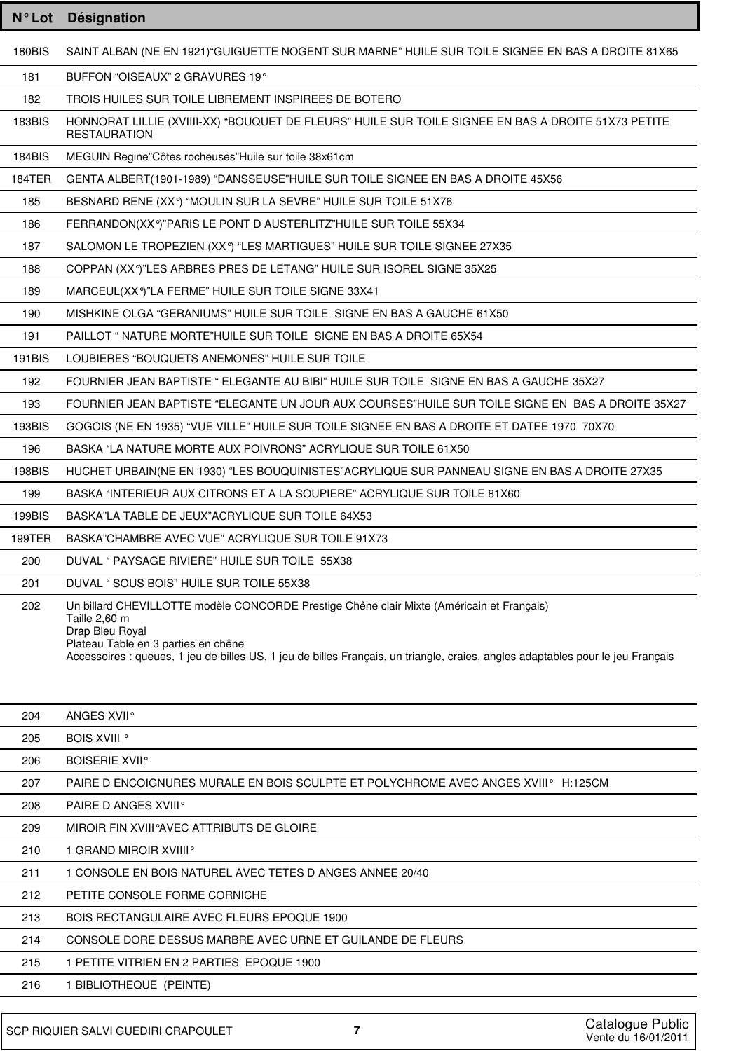| $N^{\circ}$ Lot | Désignation                                                                                                                                                                                                                                                                                             |
|-----------------|---------------------------------------------------------------------------------------------------------------------------------------------------------------------------------------------------------------------------------------------------------------------------------------------------------|
| <b>180BIS</b>   | SAINT ALBAN (NE EN 1921) "GUIGUETTE NOGENT SUR MARNE" HUILE SUR TOILE SIGNEE EN BAS A DROITE 81X65                                                                                                                                                                                                      |
| 181             | BUFFON "OISEAUX" 2 GRAVURES 19°                                                                                                                                                                                                                                                                         |
| 182             | TROIS HUILES SUR TOILE LIBREMENT INSPIREES DE BOTERO                                                                                                                                                                                                                                                    |
| 183BIS          | HONNORAT LILLIE (XVIIII-XX) "BOUQUET DE FLEURS" HUILE SUR TOILE SIGNEE EN BAS A DROITE 51X73 PETITE<br><b>RESTAURATION</b>                                                                                                                                                                              |
| 184BIS          | MEGUIN Regine"Côtes rocheuses"Huile sur toile 38x61cm                                                                                                                                                                                                                                                   |
| 184TER          | GENTA ALBERT(1901-1989) "DANSSEUSE"HUILE SUR TOILE SIGNEE EN BAS A DROITE 45X56                                                                                                                                                                                                                         |
| 185             | BESNARD RENE (XXº) "MOULIN SUR LA SEVRE" HUILE SUR TOILE 51X76                                                                                                                                                                                                                                          |
| 186             | FERRANDON(XXº)"PARIS LE PONT D AUSTERLITZ"HUILE SUR TOILE 55X34                                                                                                                                                                                                                                         |
| 187             | SALOMON LE TROPEZIEN (XXº) "LES MARTIGUES" HUILE SUR TOILE SIGNEE 27X35                                                                                                                                                                                                                                 |
| 188             | COPPAN (XXº)"LES ARBRES PRES DE LETANG" HUILE SUR ISOREL SIGNE 35X25                                                                                                                                                                                                                                    |
| 189             | MARCEUL(XXº)"LA FERME" HUILE SUR TOILE SIGNE 33X41                                                                                                                                                                                                                                                      |
| 190             | MISHKINE OLGA "GERANIUMS" HUILE SUR TOILE SIGNE EN BAS A GAUCHE 61X50                                                                                                                                                                                                                                   |
| 191             | PAILLOT " NATURE MORTE"HUILE SUR TOILE SIGNE EN BAS A DROITE 65X54                                                                                                                                                                                                                                      |
| <b>191BIS</b>   | LOUBIERES "BOUQUETS ANEMONES" HUILE SUR TOILE                                                                                                                                                                                                                                                           |
| 192             | FOURNIER JEAN BAPTISTE " ELEGANTE AU BIBI" HUILE SUR TOILE SIGNE EN BAS A GAUCHE 35X27                                                                                                                                                                                                                  |
| 193             | FOURNIER JEAN BAPTISTE "ELEGANTE UN JOUR AUX COURSES"HUILE SUR TOILE SIGNE EN BAS A DROITE 35X27                                                                                                                                                                                                        |
| <b>193BIS</b>   | GOGOIS (NE EN 1935) "VUE VILLE" HUILE SUR TOILE SIGNEE EN BAS A DROITE ET DATEE 1970 70X70                                                                                                                                                                                                              |
| 196             | BASKA "LA NATURE MORTE AUX POIVRONS" ACRYLIQUE SUR TOILE 61X50                                                                                                                                                                                                                                          |
| <b>198BIS</b>   | HUCHET URBAIN(NE EN 1930) "LES BOUQUINISTES"ACRYLIQUE SUR PANNEAU SIGNE EN BAS A DROITE 27X35                                                                                                                                                                                                           |
| 199             | BASKA "INTERIEUR AUX CITRONS ET A LA SOUPIERE" ACRYLIQUE SUR TOILE 81X60                                                                                                                                                                                                                                |
| 199BIS          | BASKA"LA TABLE DE JEUX"ACRYLIQUE SUR TOILE 64X53                                                                                                                                                                                                                                                        |
| 199TER          | BASKA"CHAMBRE AVEC VUE" ACRYLIQUE SUR TOILE 91X73                                                                                                                                                                                                                                                       |
| 200             | DUVAL " PAYSAGE RIVIERE" HUILE SUR TOILE 55X38                                                                                                                                                                                                                                                          |
| 201             | DUVAL "SOUS BOIS" HUILE SUR TOILE 55X38                                                                                                                                                                                                                                                                 |
| 202             | Un billard CHEVILLOTTE modèle CONCORDE Prestige Chêne clair Mixte (Américain et Français)<br>Taille 2,60 m<br>Drap Bleu Royal<br>Plateau Table en 3 parties en chêne<br>Accessoires : queues, 1 jeu de billes US, 1 jeu de billes Français, un triangle, craies, angles adaptables pour le jeu Français |
| 204             | ANGES XVII <sup>o</sup>                                                                                                                                                                                                                                                                                 |
| 205             | <b>BOIS XVIII</b> °                                                                                                                                                                                                                                                                                     |
| 206             | <b>BOISERIE XVII<sup>°</sup></b>                                                                                                                                                                                                                                                                        |
| 207             | PAIRE D ENCOIGNURES MURALE EN BOIS SCULPTE ET POLYCHROME AVEC ANGES XVIII° H:125CM                                                                                                                                                                                                                      |
| 208             | PAIRE D ANGES XVIII <sup>°</sup>                                                                                                                                                                                                                                                                        |
| 209             | MIROIR FIN XVIII°AVEC ATTRIBUTS DE GLOIRE                                                                                                                                                                                                                                                               |
| 210             | 1 GRAND MIROIR XVIIII <sup>°</sup>                                                                                                                                                                                                                                                                      |
| 211             | 1 CONSOLE EN BOIS NATUREL AVEC TETES D ANGES ANNEE 20/40                                                                                                                                                                                                                                                |
| 212             | PETITE CONSOLE FORME CORNICHE                                                                                                                                                                                                                                                                           |
| 213             | BOIS RECTANGULAIRE AVEC FLEURS EPOQUE 1900                                                                                                                                                                                                                                                              |

CONSOLE DORE DESSUS MARBRE AVEC URNE ET GUILANDE DE FLEURS

1 PETITE VITRIEN EN 2 PARTIES EPOQUE 1900

1 BIBLIOTHEQUE (PEINTE)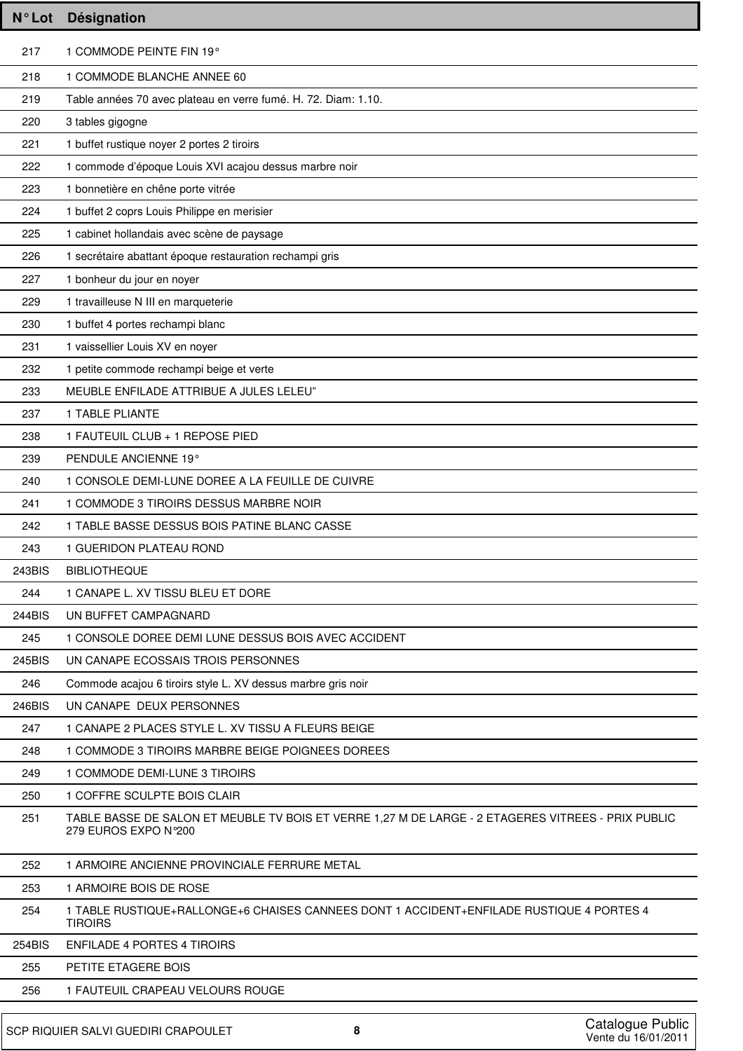| <b>N°Lot</b>  | Désignation                                                                                                                |
|---------------|----------------------------------------------------------------------------------------------------------------------------|
| 217           | 1 COMMODE PEINTE FIN 19°                                                                                                   |
| 218           | 1 COMMODE BLANCHE ANNEE 60                                                                                                 |
| 219           | Table années 70 avec plateau en verre fumé. H. 72. Diam: 1.10.                                                             |
| 220           | 3 tables gigogne                                                                                                           |
| 221           | 1 buffet rustique noyer 2 portes 2 tiroirs                                                                                 |
| 222           | 1 commode d'époque Louis XVI acajou dessus marbre noir                                                                     |
| 223           | 1 bonnetière en chêne porte vitrée                                                                                         |
| 224           | 1 buffet 2 coprs Louis Philippe en merisier                                                                                |
| 225           | 1 cabinet hollandais avec scène de paysage                                                                                 |
| 226           | 1 secrétaire abattant époque restauration rechampi gris                                                                    |
| 227           | 1 bonheur du jour en noyer                                                                                                 |
| 229           | 1 travailleuse N III en marqueterie                                                                                        |
| 230           | 1 buffet 4 portes rechampi blanc                                                                                           |
| 231           | 1 vaissellier Louis XV en noyer                                                                                            |
| 232           | 1 petite commode rechampi beige et verte                                                                                   |
| 233           | MEUBLE ENFILADE ATTRIBUE A JULES LELEU"                                                                                    |
| 237           | 1 TABLE PLIANTE                                                                                                            |
| 238           | 1 FAUTEUIL CLUB + 1 REPOSE PIED                                                                                            |
| 239           | PENDULE ANCIENNE 19°                                                                                                       |
| 240           | 1 CONSOLE DEMI-LUNE DOREE A LA FEUILLE DE CUIVRE                                                                           |
| 241           | 1 COMMODE 3 TIROIRS DESSUS MARBRE NOIR                                                                                     |
| 242           | 1 TABLE BASSE DESSUS BOIS PATINE BLANC CASSE                                                                               |
| 243           | 1 GUERIDON PLATEAU ROND                                                                                                    |
| 243BIS        | <b>BIBLIOTHEQUE</b>                                                                                                        |
| 244           | 1 CANAPE L. XV TISSU BLEU ET DORE                                                                                          |
| 244BIS        | UN BUFFET CAMPAGNARD                                                                                                       |
| 245           | 1 CONSOLE DOREE DEMI LUNE DESSUS BOIS AVEC ACCIDENT                                                                        |
| 245BIS        | UN CANAPE ECOSSAIS TROIS PERSONNES                                                                                         |
| 246           | Commode acajou 6 tiroirs style L. XV dessus marbre gris noir                                                               |
| 246BIS        | UN CANAPE DEUX PERSONNES                                                                                                   |
| 247           | 1 CANAPE 2 PLACES STYLE L. XV TISSU A FLEURS BEIGE                                                                         |
| 248           | 1 COMMODE 3 TIROIRS MARBRE BEIGE POIGNEES DOREES                                                                           |
| 249           | 1 COMMODE DEMI-LUNE 3 TIROIRS                                                                                              |
| 250           | 1 COFFRE SCULPTE BOIS CLAIR                                                                                                |
| 251           | TABLE BASSE DE SALON ET MEUBLE TV BOIS ET VERRE 1,27 M DE LARGE - 2 ETAGERES VITREES - PRIX PUBLIC<br>279 EUROS EXPO N°200 |
| 252           | 1 ARMOIRE ANCIENNE PROVINCIALE FERRURE METAL                                                                               |
| 253           | 1 ARMOIRE BOIS DE ROSE                                                                                                     |
| 254           | 1 TABLE RUSTIQUE+RALLONGE+6 CHAISES CANNEES DONT 1 ACCIDENT+ENFILADE RUSTIQUE 4 PORTES 4<br><b>TIROIRS</b>                 |
| <b>254BIS</b> | <b>ENFILADE 4 PORTES 4 TIROIRS</b>                                                                                         |
| 255           | PETITE ETAGERE BOIS                                                                                                        |
| 256           | 1 FAUTEUIL CRAPEAU VELOURS ROUGE                                                                                           |
|               |                                                                                                                            |